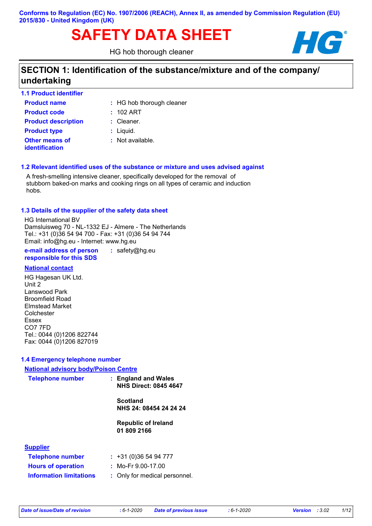# **SAFETY DATA SHEET HG**

HG hob thorough cleaner



# **SECTION 1: Identification of the substance/mixture and of the company/ undertaking**

| <b>1.1 Product identifier</b>    |                           |
|----------------------------------|---------------------------|
| <b>Product name</b>              | : HG hob thorough cleaner |
| <b>Product code</b>              | $: 102$ ART               |
| <b>Product description</b>       | $:$ Cleaner.              |
| <b>Product type</b>              | $:$ Liquid.               |
| Other means of<br>identification | : Not available.          |

## **1.2 Relevant identified uses of the substance or mixture and uses advised against**

A fresh-smelling intensive cleaner, specifically developed for the removal of stubborn baked-on marks and cooking rings on all types of ceramic and induction hobs.

#### **1.3 Details of the supplier of the safety data sheet**

HG International BV Damsluisweg 70 - NL-1332 EJ - Almere - The Netherlands Tel.: +31 (0)36 54 94 700 - Fax: +31 (0)36 54 94 744 Email: info@hg.eu - Internet: www.hg.eu

**e-mail address of person responsible for this SDS :** safety@hg.eu

#### **National contact**

HG Hagesan UK Ltd. Unit 2 Lanswood Park Broomfield Road Elmstead Market Colchester Essex CO7 7FD Tel.: 0044 (0)1206 822744 Fax: 0044 (0)1206 827019

## **1.4 Emergency telephone number**

| <b>National advisory body/Poison Centre</b> |                                                     |
|---------------------------------------------|-----------------------------------------------------|
| <b>Telephone number</b>                     | : England and Wales<br><b>NHS Direct: 0845 4647</b> |
|                                             | <b>Scotland</b><br>NHS 24: 08454 24 24 24           |
|                                             | <b>Republic of Ireland</b><br>01 809 2166           |
| <b>Supplier</b>                             |                                                     |
| <b>Telephone number</b>                     | : 431(0)365494777                                   |
| <b>Hours of operation</b>                   | : Mo-Fr 9.00-17.00                                  |

| <b>Hours of operation</b> |  |
|---------------------------|--|
| Information limitations   |  |

#### **Information limitations** : Only for medical personnel.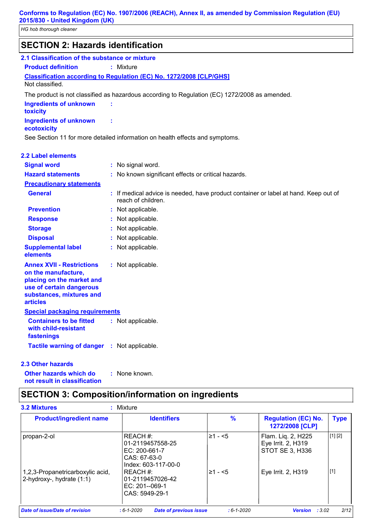*HG hob thorough cleaner*

| <b>SECTION 2: Hazards identification</b>                                                                                                                        |                                                                                               |
|-----------------------------------------------------------------------------------------------------------------------------------------------------------------|-----------------------------------------------------------------------------------------------|
| 2.1 Classification of the substance or mixture                                                                                                                  |                                                                                               |
| <b>Product definition</b>                                                                                                                                       | : Mixture                                                                                     |
|                                                                                                                                                                 | Classification according to Regulation (EC) No. 1272/2008 [CLP/GHS]                           |
| Not classified.                                                                                                                                                 |                                                                                               |
|                                                                                                                                                                 | The product is not classified as hazardous according to Regulation (EC) 1272/2008 as amended. |
| <b>Ingredients of unknown</b><br>toxicity                                                                                                                       |                                                                                               |
| <b>Ingredients of unknown</b><br>ecotoxicity                                                                                                                    | t                                                                                             |
|                                                                                                                                                                 | See Section 11 for more detailed information on health effects and symptoms.                  |
| <b>2.2 Label elements</b>                                                                                                                                       |                                                                                               |
| <b>Signal word</b>                                                                                                                                              | : No signal word.                                                                             |
| <b>Hazard statements</b>                                                                                                                                        | : No known significant effects or critical hazards.                                           |
| <b>Precautionary statements</b>                                                                                                                                 |                                                                                               |
| <b>General</b>                                                                                                                                                  | : If medical advice is needed, have product container or label at hand. Keep out of           |
|                                                                                                                                                                 | reach of children.                                                                            |
| <b>Prevention</b>                                                                                                                                               | : Not applicable.                                                                             |
| <b>Response</b>                                                                                                                                                 | Not applicable.                                                                               |
| <b>Storage</b>                                                                                                                                                  | Not applicable.                                                                               |
| <b>Disposal</b>                                                                                                                                                 | Not applicable.                                                                               |
| <b>Supplemental label</b><br>elements                                                                                                                           | : Not applicable.                                                                             |
| <b>Annex XVII - Restrictions</b><br>on the manufacture,<br>placing on the market and<br>use of certain dangerous<br>substances, mixtures and<br><b>articles</b> | : Not applicable.                                                                             |
| <b>Special packaging requirements</b>                                                                                                                           |                                                                                               |
| <b>Containers to be fitted</b><br>with child-resistant<br>fastenings                                                                                            | : Not applicable.                                                                             |
| Tactile warning of danger : Not applicable.                                                                                                                     |                                                                                               |
| 2.3 Other hazards                                                                                                                                               |                                                                                               |

**Other hazards which do : not result in classification** : None known.

# **SECTION 3: Composition/information on ingredients**

| <b>Product/ingredient name</b>                                | <b>Identifiers</b>                                                                  | %            | <b>Regulation (EC) No.</b><br>1272/2008 [CLP]               | <b>Type</b> |
|---------------------------------------------------------------|-------------------------------------------------------------------------------------|--------------|-------------------------------------------------------------|-------------|
| propan-2-ol                                                   | REACH#:<br>01-2119457558-25<br>EC: 200-661-7<br>CAS: 67-63-0<br>Index: 603-117-00-0 | ⊦≥1 - <5     | Flam. Liq. 2, H225<br>Eye Irrit. 2, H319<br>STOT SE 3, H336 | [1] [2]     |
| 1,2,3-Propanetricarboxylic acid,<br>2-hydroxy-, hydrate (1:1) | I REACH #:<br>01-2119457026-42<br>EC: 201--069-1<br>CAS: 5949-29-1                  | $\geq 1 - 5$ | Eye Irrit. 2, H319                                          | $[1]$       |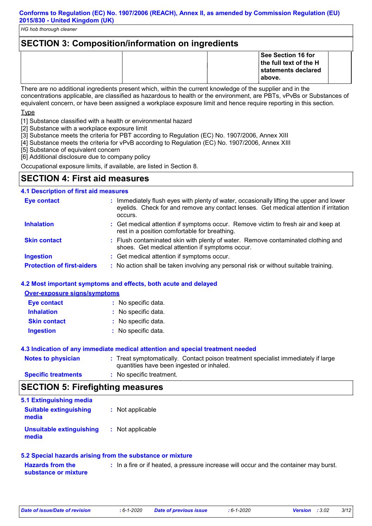# **SECTION 3: Composition/information on ingredients See Section 16 for the full text of the H statements declared above.**

There are no additional ingredients present which, within the current knowledge of the supplier and in the concentrations applicable, are classified as hazardous to health or the environment, are PBTs, vPvBs or Substances of equivalent concern, or have been assigned a workplace exposure limit and hence require reporting in this section.

**T**<sub>vpe</sub>

[1] Substance classified with a health or environmental hazard

- [2] Substance with a workplace exposure limit
- [3] Substance meets the criteria for PBT according to Regulation (EC) No. 1907/2006, Annex XIII
- [4] Substance meets the criteria for vPvB according to Regulation (EC) No. 1907/2006, Annex XIII
- [5] Substance of equivalent concern

[6] Additional disclosure due to company policy

Occupational exposure limits, if available, are listed in Section 8.

# **SECTION 4: First aid measures**

## **4.1 Description of first aid measures**

| <b>Eye contact</b>                | Immediately flush eyes with plenty of water, occasionally lifting the upper and lower<br>eyelids. Check for and remove any contact lenses. Get medical attention if irritation<br>occurs. |
|-----------------------------------|-------------------------------------------------------------------------------------------------------------------------------------------------------------------------------------------|
| <b>Inhalation</b>                 | : Get medical attention if symptoms occur. Remove victim to fresh air and keep at<br>rest in a position comfortable for breathing.                                                        |
| <b>Skin contact</b>               | : Flush contaminated skin with plenty of water. Remove contaminated clothing and<br>shoes. Get medical attention if symptoms occur.                                                       |
| <b>Ingestion</b>                  | : Get medical attention if symptoms occur.                                                                                                                                                |
| <b>Protection of first-aiders</b> | : No action shall be taken involving any personal risk or without suitable training.                                                                                                      |

#### **4.2 Most important symptoms and effects, both acute and delayed**

**Over-exposure signs/symptoms**

| <b>Eye contact</b>  | : No specific data. |
|---------------------|---------------------|
| <b>Inhalation</b>   | : No specific data. |
| <b>Skin contact</b> | : No specific data. |
| <b>Ingestion</b>    | : No specific data. |

#### **4.3 Indication of any immediate medical attention and special treatment needed**

| <b>Notes to physician</b>  | : Treat symptomatically. Contact poison treatment specialist immediately if large<br>quantities have been ingested or inhaled. |
|----------------------------|--------------------------------------------------------------------------------------------------------------------------------|
| <b>Specific treatments</b> | : No specific treatment.                                                                                                       |

## **SECTION 5: Firefighting measures**

| 5.1 Extinguishing media                  |                  |
|------------------------------------------|------------------|
| <b>Suitable extinguishing</b><br>media   | : Not applicable |
| <b>Unsuitable extinguishing</b><br>media | : Not applicable |

#### **5.2 Special hazards arising from the substance or mixture**

**Hazards from the substance or mixture :** In a fire or if heated, a pressure increase will occur and the container may burst.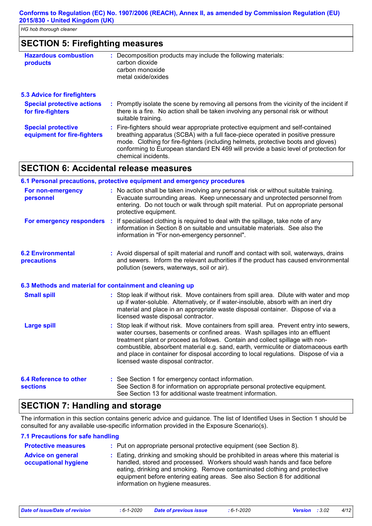# **SECTION 5: Firefighting measures**

| <b>Hazardous combustion</b><br>products                  | : Decomposition products may include the following materials:<br>carbon dioxide<br>carbon monoxide<br>metal oxide/oxides                                                                                                                                                                                                                                              |
|----------------------------------------------------------|-----------------------------------------------------------------------------------------------------------------------------------------------------------------------------------------------------------------------------------------------------------------------------------------------------------------------------------------------------------------------|
| <b>5.3 Advice for firefighters</b>                       |                                                                                                                                                                                                                                                                                                                                                                       |
| <b>Special protective actions</b><br>for fire-fighters   | : Promptly isolate the scene by removing all persons from the vicinity of the incident if<br>there is a fire. No action shall be taken involving any personal risk or without<br>suitable training.                                                                                                                                                                   |
| <b>Special protective</b><br>equipment for fire-fighters | : Fire-fighters should wear appropriate protective equipment and self-contained<br>breathing apparatus (SCBA) with a full face-piece operated in positive pressure<br>mode. Clothing for fire-fighters (including helmets, protective boots and gloves)<br>conforming to European standard EN 469 will provide a basic level of protection for<br>chemical incidents. |

# **SECTION 6: Accidental release measures**

|                                                  | 6.1 Personal precautions, protective equipment and emergency procedures                                                                                                                                                                                                                                                                                                                                                                                                        |
|--------------------------------------------------|--------------------------------------------------------------------------------------------------------------------------------------------------------------------------------------------------------------------------------------------------------------------------------------------------------------------------------------------------------------------------------------------------------------------------------------------------------------------------------|
| For non-emergency<br>personnel                   | : No action shall be taken involving any personal risk or without suitable training.<br>Evacuate surrounding areas. Keep unnecessary and unprotected personnel from<br>entering. Do not touch or walk through spilt material. Put on appropriate personal<br>protective equipment.                                                                                                                                                                                             |
|                                                  | For emergency responders : If specialised clothing is required to deal with the spillage, take note of any<br>information in Section 8 on suitable and unsuitable materials. See also the<br>information in "For non-emergency personnel".                                                                                                                                                                                                                                     |
| <b>6.2 Environmental</b><br>precautions          | : Avoid dispersal of spilt material and runoff and contact with soil, waterways, drains<br>and sewers. Inform the relevant authorities if the product has caused environmental<br>pollution (sewers, waterways, soil or air).                                                                                                                                                                                                                                                  |
|                                                  | 6.3 Methods and material for containment and cleaning up                                                                                                                                                                                                                                                                                                                                                                                                                       |
| <b>Small spill</b>                               | : Stop leak if without risk. Move containers from spill area. Dilute with water and mop<br>up if water-soluble. Alternatively, or if water-insoluble, absorb with an inert dry<br>material and place in an appropriate waste disposal container. Dispose of via a<br>licensed waste disposal contractor.                                                                                                                                                                       |
| <b>Large spill</b>                               | : Stop leak if without risk. Move containers from spill area. Prevent entry into sewers,<br>water courses, basements or confined areas. Wash spillages into an effluent<br>treatment plant or proceed as follows. Contain and collect spillage with non-<br>combustible, absorbent material e.g. sand, earth, vermiculite or diatomaceous earth<br>and place in container for disposal according to local regulations. Dispose of via a<br>licensed waste disposal contractor. |
| <b>6.4 Reference to other</b><br><b>sections</b> | : See Section 1 for emergency contact information.<br>See Section 8 for information on appropriate personal protective equipment.                                                                                                                                                                                                                                                                                                                                              |

# **SECTION 7: Handling and storage**

The information in this section contains generic advice and guidance. The list of Identified Uses in Section 1 should be consulted for any available use-specific information provided in the Exposure Scenario(s).

See Section 13 for additional waste treatment information.

#### **7.1 Precautions for safe handling**

| <b>Protective measures</b>                       | : Put on appropriate personal protective equipment (see Section 8).                                                                                                                                                                                                                                                                                           |
|--------------------------------------------------|---------------------------------------------------------------------------------------------------------------------------------------------------------------------------------------------------------------------------------------------------------------------------------------------------------------------------------------------------------------|
| <b>Advice on general</b><br>occupational hygiene | : Eating, drinking and smoking should be prohibited in areas where this material is<br>handled, stored and processed. Workers should wash hands and face before<br>eating, drinking and smoking. Remove contaminated clothing and protective<br>equipment before entering eating areas. See also Section 8 for additional<br>information on hygiene measures. |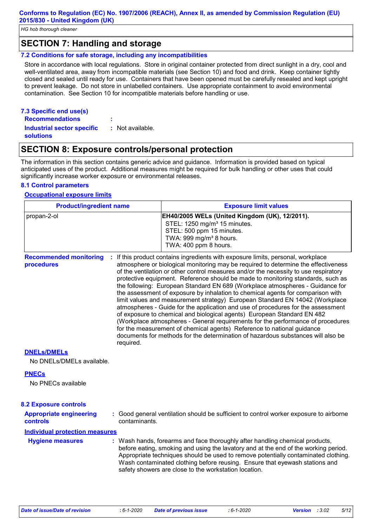*HG hob thorough cleaner*

## **SECTION 7: Handling and storage**

#### **7.2 Conditions for safe storage, including any incompatibilities**

Store in accordance with local regulations. Store in original container protected from direct sunlight in a dry, cool and well-ventilated area, away from incompatible materials (see Section 10) and food and drink. Keep container tightly closed and sealed until ready for use. Containers that have been opened must be carefully resealed and kept upright to prevent leakage. Do not store in unlabelled containers. Use appropriate containment to avoid environmental contamination. See Section 10 for incompatible materials before handling or use.

#### **7.3 Specific end use(s) Recommendations :**

**Industrial sector specific : solutions** : Not available.

## **SECTION 8: Exposure controls/personal protection**

The information in this section contains generic advice and guidance. Information is provided based on typical anticipated uses of the product. Additional measures might be required for bulk handling or other uses that could significantly increase worker exposure or environmental releases.

## **8.1 Control parameters**

#### **Occupational exposure limits**

| <b>Product/ingredient name</b>              |                 | <b>Exposure limit values</b>                                                                                                                                                                                                                                                                                                                                                                                                                                                                                                                                                                                                                                                                                                                                                                                                                                                                                                                                                                                        |  |
|---------------------------------------------|-----------------|---------------------------------------------------------------------------------------------------------------------------------------------------------------------------------------------------------------------------------------------------------------------------------------------------------------------------------------------------------------------------------------------------------------------------------------------------------------------------------------------------------------------------------------------------------------------------------------------------------------------------------------------------------------------------------------------------------------------------------------------------------------------------------------------------------------------------------------------------------------------------------------------------------------------------------------------------------------------------------------------------------------------|--|
| propan-2-ol                                 |                 | EH40/2005 WELs (United Kingdom (UK), 12/2011).<br>STEL: 1250 mg/m <sup>3</sup> 15 minutes.<br>STEL: 500 ppm 15 minutes.<br>TWA: 999 mg/m <sup>3</sup> 8 hours.<br>TWA: 400 ppm 8 hours.                                                                                                                                                                                                                                                                                                                                                                                                                                                                                                                                                                                                                                                                                                                                                                                                                             |  |
| <b>Recommended monitoring</b><br>procedures | ÷.<br>required. | If this product contains ingredients with exposure limits, personal, workplace<br>atmosphere or biological monitoring may be required to determine the effectiveness<br>of the ventilation or other control measures and/or the necessity to use respiratory<br>protective equipment. Reference should be made to monitoring standards, such as<br>the following: European Standard EN 689 (Workplace atmospheres - Guidance for<br>the assessment of exposure by inhalation to chemical agents for comparison with<br>limit values and measurement strategy) European Standard EN 14042 (Workplace<br>atmospheres - Guide for the application and use of procedures for the assessment<br>of exposure to chemical and biological agents) European Standard EN 482<br>(Workplace atmospheres - General requirements for the performance of procedures<br>for the measurement of chemical agents) Reference to national guidance<br>documents for methods for the determination of hazardous substances will also be |  |

#### **DNELs/DMELs**

No DNELs/DMELs available.

#### **PNECs**

No PNECs available

| <b>8.2 Exposure controls</b>                      |                                                                                                                                                                                                                                                          |
|---------------------------------------------------|----------------------------------------------------------------------------------------------------------------------------------------------------------------------------------------------------------------------------------------------------------|
| <b>Appropriate engineering</b><br><b>controls</b> | : Good general ventilation should be sufficient to control worker exposure to airborne<br>contaminants.                                                                                                                                                  |
| <b>Individual protection measures</b>             |                                                                                                                                                                                                                                                          |
| <b>Hygiene measures</b>                           | : Wash hands, forearms and face thoroughly after handling chemical products,<br>before eating, smoking and using the lavatory and at the end of the working period.<br>Appropriate techniques should be used to remove notentially contaminated clothing |

before eating, smoking and using the lavatory and at the end of the working period. Appropriate techniques should be used to remove potentially contaminated clothing. Wash contaminated clothing before reusing. Ensure that eyewash stations and safety showers are close to the workstation location.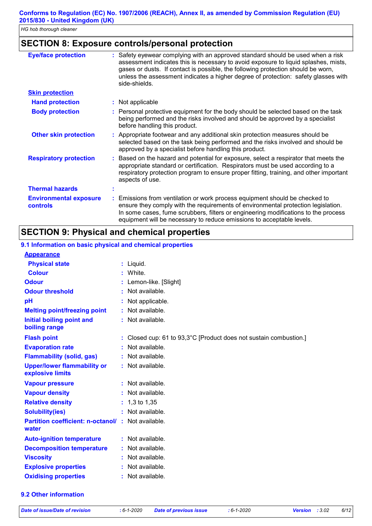## **SECTION 8: Exposure controls/personal protection**

| <b>Eye/face protection</b>                       | Safety eyewear complying with an approved standard should be used when a risk<br>assessment indicates this is necessary to avoid exposure to liquid splashes, mists,<br>gases or dusts. If contact is possible, the following protection should be worn,<br>unless the assessment indicates a higher degree of protection: safety glasses with<br>side-shields. |
|--------------------------------------------------|-----------------------------------------------------------------------------------------------------------------------------------------------------------------------------------------------------------------------------------------------------------------------------------------------------------------------------------------------------------------|
| <b>Skin protection</b>                           |                                                                                                                                                                                                                                                                                                                                                                 |
| <b>Hand protection</b>                           | : Not applicable                                                                                                                                                                                                                                                                                                                                                |
| <b>Body protection</b>                           | Personal protective equipment for the body should be selected based on the task<br>being performed and the risks involved and should be approved by a specialist<br>before handling this product.                                                                                                                                                               |
| <b>Other skin protection</b>                     | : Appropriate footwear and any additional skin protection measures should be<br>selected based on the task being performed and the risks involved and should be<br>approved by a specialist before handling this product.                                                                                                                                       |
| <b>Respiratory protection</b>                    | Based on the hazard and potential for exposure, select a respirator that meets the<br>appropriate standard or certification. Respirators must be used according to a<br>respiratory protection program to ensure proper fitting, training, and other important<br>aspects of use.                                                                               |
| <b>Thermal hazards</b>                           |                                                                                                                                                                                                                                                                                                                                                                 |
| <b>Environmental exposure</b><br><b>controls</b> | Emissions from ventilation or work process equipment should be checked to<br>ensure they comply with the requirements of environmental protection legislation.<br>In some cases, fume scrubbers, filters or engineering modifications to the process<br>equipment will be necessary to reduce emissions to acceptable levels.                                   |

# **SECTION 9: Physical and chemical properties**

## **9.1 Information on basic physical and chemical properties**

#### **Appearance**

| <b>Physical state</b>                                             | : Liquid.                                                         |
|-------------------------------------------------------------------|-------------------------------------------------------------------|
| <b>Colour</b>                                                     | : White                                                           |
| <b>Odour</b>                                                      | : Lemon-like. [Slight]                                            |
| <b>Odour threshold</b>                                            | $:$ Not available.                                                |
| pH                                                                | Not applicable.                                                   |
| <b>Melting point/freezing point</b>                               | : Not available.                                                  |
| Initial boiling point and<br>boiling range                        | $:$ Not available.                                                |
| <b>Flash point</b>                                                | : Closed cup: 61 to 93,3°C [Product does not sustain combustion.] |
| <b>Evaporation rate</b>                                           | Not available.                                                    |
| <b>Flammability (solid, gas)</b>                                  | : Not available.                                                  |
| <b>Upper/lower flammability or</b><br>explosive limits            | : Not available.                                                  |
| <b>Vapour pressure</b>                                            | : Not available.                                                  |
| <b>Vapour density</b>                                             | : Not available.                                                  |
| <b>Relative density</b>                                           | $: 1,3$ to 1,35                                                   |
| <b>Solubility(ies)</b>                                            | : Not available.                                                  |
| <b>Partition coefficient: n-octanol/: Not available.</b><br>water |                                                                   |
| <b>Auto-ignition temperature</b>                                  | : Not available.                                                  |
| <b>Decomposition temperature</b>                                  | : Not available.                                                  |
| <b>Viscosity</b>                                                  | : Not available.                                                  |
| <b>Explosive properties</b>                                       | : Not available.                                                  |
| <b>Oxidising properties</b>                                       | : Not available.                                                  |

#### **9.2 Other information**

*Date of issue/Date of revision* **:** *6-1-2020 Date of previous issue : 6-1-2020 Version : 3.02 6/12*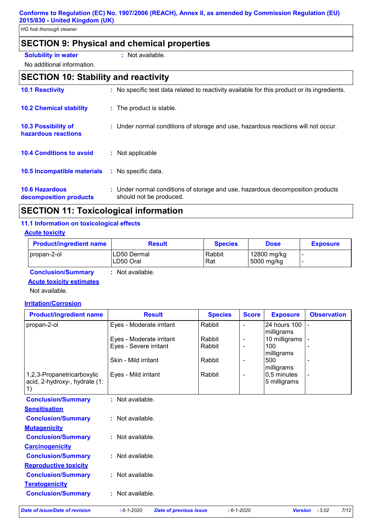*HG hob thorough cleaner*

# **SECTION 9: Physical and chemical properties**

#### **Solubility in water :** Not available.

No additional information.

# **SECTION 10: Stability and reactivity**

| <b>10.1 Reactivity</b>                            | : No specific test data related to reactivity available for this product or its ingredients.              |
|---------------------------------------------------|-----------------------------------------------------------------------------------------------------------|
| <b>10.2 Chemical stability</b>                    | : The product is stable.                                                                                  |
| <b>10.3 Possibility of</b><br>hazardous reactions | : Under normal conditions of storage and use, hazardous reactions will not occur.                         |
| <b>10.4 Conditions to avoid</b>                   | : Not applicable                                                                                          |
| <b>10.5 Incompatible materials</b>                | : No specific data.                                                                                       |
| <b>10.6 Hazardous</b><br>decomposition products   | : Under normal conditions of storage and use, hazardous decomposition products<br>should not be produced. |

# **SECTION 11: Toxicological information**

## **11.1 Information on toxicological effects**

## **Acute toxicity**

| <b>Product/ingredient name</b> | <b>Result</b>            | <b>Species</b> | <b>Dose</b>               | <b>Exposure</b> |
|--------------------------------|--------------------------|----------------|---------------------------|-----------------|
| propan-2-ol                    | LD50 Dermal<br>LD50 Oral | Rabbit<br>Rat  | 12800 mg/kg<br>5000 mg/kg |                 |

## **Conclusion/Summary :** Not available.

**Acute toxicity estimates**

Not available.

#### **Irritation/Corrosion**

| <b>Product/ingredient name</b>                              | <b>Result</b>            | <b>Species</b> | <b>Score</b>             | <b>Exposure</b>             | <b>Observation</b> |
|-------------------------------------------------------------|--------------------------|----------------|--------------------------|-----------------------------|--------------------|
| propan-2-ol                                                 | Eyes - Moderate irritant | Rabbit         | $\overline{\phantom{a}}$ | 24 hours 100<br>milligrams  | $\blacksquare$     |
|                                                             | Eyes - Moderate irritant | Rabbit         | $\overline{\phantom{a}}$ | 10 milligrams               |                    |
|                                                             | Eyes - Severe irritant   | Rabbit         | $\overline{\phantom{a}}$ | 100                         |                    |
|                                                             |                          |                |                          | milligrams                  |                    |
|                                                             | Skin - Mild irritant     | Rabbit         | $\overline{\phantom{a}}$ | 500                         |                    |
|                                                             |                          |                |                          | milligrams                  |                    |
| 1,2,3-Propanetricarboxylic<br>acid, 2-hydroxy-, hydrate (1: | Eyes - Mild irritant     | Rabbit         | $\overline{\phantom{a}}$ | 0,5 minutes<br>5 milligrams |                    |
| 1)                                                          |                          |                |                          |                             |                    |
|                                                             | : Not available.         |                |                          |                             |                    |
| <b>Conclusion/Summary</b>                                   |                          |                |                          |                             |                    |
| <b>Sensitisation</b>                                        |                          |                |                          |                             |                    |
| <b>Conclusion/Summary</b>                                   | : Not available.         |                |                          |                             |                    |
| <b>Mutagenicity</b>                                         |                          |                |                          |                             |                    |
| <b>Conclusion/Summary</b>                                   | : Not available.         |                |                          |                             |                    |
| <b>Carcinogenicity</b>                                      |                          |                |                          |                             |                    |
| <b>Conclusion/Summary</b>                                   | : Not available.         |                |                          |                             |                    |
| <b>Reproductive toxicity</b>                                |                          |                |                          |                             |                    |
| <b>Conclusion/Summary</b>                                   | : Not available.         |                |                          |                             |                    |
| <b>Teratogenicity</b>                                       |                          |                |                          |                             |                    |
| <b>Conclusion/Summary</b>                                   | : Not available.         |                |                          |                             |                    |
|                                                             |                          |                |                          |                             |                    |

*Date of issue/Date of revision* **:** *6-1-2020 Date of previous issue : 6-1-2020 Version : 3.02 7/12*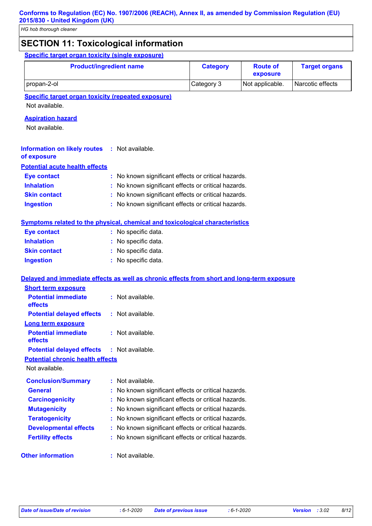# **SECTION 11: Toxicological information**

**Specific target organ toxicity (single exposure)**

| <b>Product/ingredient name</b> | <b>Category</b> | <b>Route of</b><br>exposure | <b>Target organs</b> |
|--------------------------------|-----------------|-----------------------------|----------------------|
| propan-2-ol                    | Category 3      | Not applicable.             | Narcotic effects     |

**Specific target organ toxicity (repeated exposure)**

Not available.

## **Aspiration hazard**

Not available.

| <b>Information on likely routes : Not available.</b> |  |
|------------------------------------------------------|--|
| of exposure                                          |  |

#### **Potential acute health effects**

| <b>Eye contact</b>  | : No known significant effects or critical hazards. |
|---------------------|-----------------------------------------------------|
| <b>Inhalation</b>   | : No known significant effects or critical hazards. |
| <b>Skin contact</b> | : No known significant effects or critical hazards. |
| <b>Ingestion</b>    | : No known significant effects or critical hazards. |

## **Symptoms related to the physical, chemical and toxicological characteristics**

| <b>Eye contact</b>  | : No specific data. |
|---------------------|---------------------|
| <b>Inhalation</b>   | : No specific data. |
| <b>Skin contact</b> | : No specific data. |
| <b>Ingestion</b>    | : No specific data. |

## **Delayed and immediate effects as well as chronic effects from short and long-term exposure**

| <b>Short term exposure</b>                        |                                                     |
|---------------------------------------------------|-----------------------------------------------------|
| <b>Potential immediate</b><br>effects             | $:$ Not available.                                  |
| <b>Potential delayed effects</b>                  | $:$ Not available.                                  |
| <b>Long term exposure</b>                         |                                                     |
| <b>Potential immediate</b><br>effects             | : Not available.                                    |
| <b>Potential delayed effects : Not available.</b> |                                                     |
| <b>Potential chronic health effects</b>           |                                                     |
| Not available.                                    |                                                     |
| <b>Conclusion/Summary</b>                         | : Not available.                                    |
| <b>General</b>                                    | No known significant effects or critical hazards.   |
| <b>Carcinogenicity</b>                            | No known significant effects or critical hazards.   |
| <b>Mutagenicity</b>                               | No known significant effects or critical hazards.   |
| <b>Teratogenicity</b>                             | No known significant effects or critical hazards.   |
| <b>Developmental effects</b>                      | No known significant effects or critical hazards.   |
| <b>Fertility effects</b>                          | : No known significant effects or critical hazards. |
| <b>Other information</b>                          | : Not available.                                    |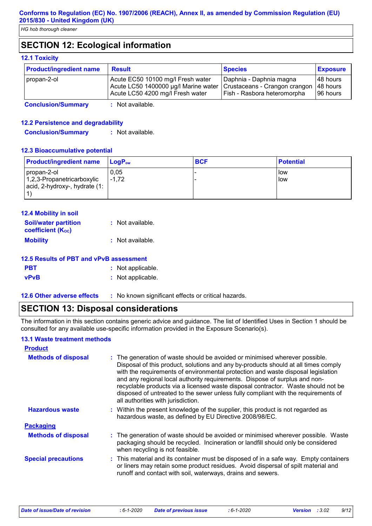# **SECTION 12: Ecological information**

### **12.1 Toxicity**

| <b>Product/ingredient name</b> | <b>Result</b>                                                                                                                                 | <b>Species</b>                                         | <b>Exposure</b>                    |
|--------------------------------|-----------------------------------------------------------------------------------------------------------------------------------------------|--------------------------------------------------------|------------------------------------|
| propan-2-ol                    | Acute EC50 10100 mg/l Fresh water<br>Acute LC50 1400000 µg/l Marine water   Crustaceans - Crangon crangon<br>Acute LC50 4200 mg/l Fresh water | Daphnia - Daphnia magna<br>Fish - Rasbora heteromorpha | 148 hours<br>48 hours<br>196 hours |
| .                              |                                                                                                                                               |                                                        |                                    |

**Conclusion/Summary :** Not available.

## **12.2 Persistence and degradability**

**Conclusion/Summary :** Not available.

#### **12.3 Bioaccumulative potential**

| <b>Product/ingredient name</b>                              | $LoaPow$ | <b>BCF</b> | <b>Potential</b> |
|-------------------------------------------------------------|----------|------------|------------------|
| propan-2-ol                                                 | 0.05     |            | llow             |
| 1,2,3-Propanetricarboxylic<br>acid, 2-hydroxy-, hydrate (1: | $-1.72$  |            | low              |
|                                                             |          |            |                  |

| 12.4 Mobility in soil                                   |                  |
|---------------------------------------------------------|------------------|
| <b>Soil/water partition</b><br><b>coefficient (Koc)</b> | : Not available. |
| <b>Mobility</b>                                         | : Not available. |

## **12.5 Results of PBT and vPvB assessment**

| <b>PBT</b>  | : Not applicable. |
|-------------|-------------------|
| <b>vPvB</b> | : Not applicable. |

**12.6 Other adverse effects** : No known significant effects or critical hazards.

# **SECTION 13: Disposal considerations**

The information in this section contains generic advice and guidance. The list of Identified Uses in Section 1 should be consulted for any available use-specific information provided in the Exposure Scenario(s).

## **13.1 Waste treatment methods**

| <b>Product</b>             |                                                                                                                                                                                                                                                                                                                                                                                                                                                                                                                                                      |  |
|----------------------------|------------------------------------------------------------------------------------------------------------------------------------------------------------------------------------------------------------------------------------------------------------------------------------------------------------------------------------------------------------------------------------------------------------------------------------------------------------------------------------------------------------------------------------------------------|--|
| <b>Methods of disposal</b> | : The generation of waste should be avoided or minimised wherever possible.<br>Disposal of this product, solutions and any by-products should at all times comply<br>with the requirements of environmental protection and waste disposal legislation<br>and any regional local authority requirements. Dispose of surplus and non-<br>recyclable products via a licensed waste disposal contractor. Waste should not be<br>disposed of untreated to the sewer unless fully compliant with the requirements of<br>all authorities with jurisdiction. |  |
| <b>Hazardous waste</b>     | : Within the present knowledge of the supplier, this product is not regarded as<br>hazardous waste, as defined by EU Directive 2008/98/EC.                                                                                                                                                                                                                                                                                                                                                                                                           |  |
| <b>Packaging</b>           |                                                                                                                                                                                                                                                                                                                                                                                                                                                                                                                                                      |  |
| <b>Methods of disposal</b> | : The generation of waste should be avoided or minimised wherever possible. Waste<br>packaging should be recycled. Incineration or landfill should only be considered<br>when recycling is not feasible.                                                                                                                                                                                                                                                                                                                                             |  |
| <b>Special precautions</b> | : This material and its container must be disposed of in a safe way. Empty containers<br>or liners may retain some product residues. Avoid dispersal of spilt material and<br>runoff and contact with soil, waterways, drains and sewers.                                                                                                                                                                                                                                                                                                            |  |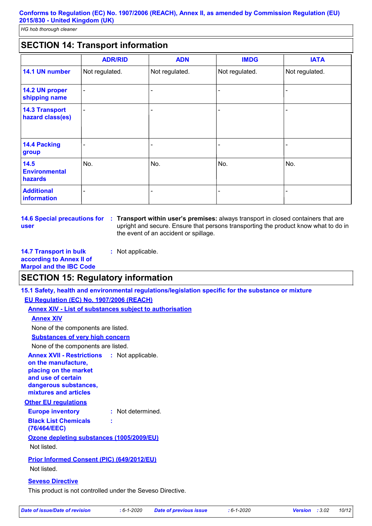# **SECTION 14: Transport information**

|                                           | <b>ADR/RID</b>           | <b>ADN</b>     | <b>IMDG</b>    | <b>IATA</b>              |
|-------------------------------------------|--------------------------|----------------|----------------|--------------------------|
| 14.1 UN number                            | Not regulated.           | Not regulated. | Not regulated. | Not regulated.           |
| 14.2 UN proper<br>shipping name           | $\overline{\phantom{a}}$ |                |                |                          |
| <b>14.3 Transport</b><br>hazard class(es) | $\blacksquare$           |                |                | $\overline{\phantom{0}}$ |
| 14.4 Packing<br>group                     |                          |                |                |                          |
| 14.5<br><b>Environmental</b><br>hazards   | No.                      | No.            | No.            | No.                      |
| <b>Additional</b><br>information          |                          |                |                |                          |

**14.6 Special precautions for : Transport within user's premises: always transport in closed containers that are user** upright and secure. Ensure that persons transporting the product know what to do in the event of an accident or spillage.

**14.7 Transport in bulk according to Annex II of Marpol and the IBC Code :** Not applicable.

# **SECTION 15: Regulatory information**

**15.1 Safety, health and environmental regulations/legislation specific for the substance or mixture**

**EU Regulation (EC) No. 1907/2006 (REACH)**

**Annex XIV - List of substances subject to authorisation**

**Annex XIV**

None of the components are listed.

**Substances of very high concern**

None of the components are listed.

**Other EU regulations Annex XVII - Restrictions on the manufacture, placing on the market and use of certain dangerous substances, mixtures and articles** : Not applicable.

#### **Europe inventory :** Not determined. **Black List Chemicals (76/464/EEC) :**

**Ozone depleting substances (1005/2009/EU)**

Not listed.

**Prior Informed Consent (PIC) (649/2012/EU)** Not listed.

## **Seveso Directive**

This product is not controlled under the Seveso Directive.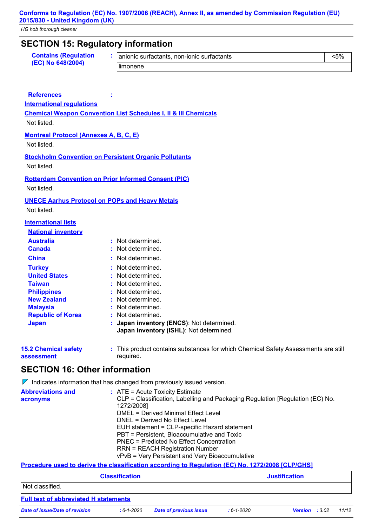*HG hob thorough cleaner*

| <b>SECTION 15: Regulatory information</b>             |                                                                                                  |                                    |         |  |
|-------------------------------------------------------|--------------------------------------------------------------------------------------------------|------------------------------------|---------|--|
| <b>Contains (Regulation</b>                           | anionic surfactants, non-ionic surfactants                                                       |                                    | $< 5\%$ |  |
| (EC) No 648/2004)                                     | limonene                                                                                         |                                    |         |  |
|                                                       |                                                                                                  |                                    |         |  |
|                                                       |                                                                                                  |                                    |         |  |
| <b>References</b>                                     |                                                                                                  |                                    |         |  |
| <b>International regulations</b>                      |                                                                                                  |                                    |         |  |
|                                                       | <b>Chemical Weapon Convention List Schedules I, II &amp; III Chemicals</b>                       |                                    |         |  |
| Not listed.                                           |                                                                                                  |                                    |         |  |
| <b>Montreal Protocol (Annexes A, B, C, E)</b>         |                                                                                                  |                                    |         |  |
| Not listed.                                           |                                                                                                  |                                    |         |  |
|                                                       | <b>Stockholm Convention on Persistent Organic Pollutants</b>                                     |                                    |         |  |
| Not listed.                                           |                                                                                                  |                                    |         |  |
|                                                       | <b>Rotterdam Convention on Prior Informed Consent (PIC)</b>                                      |                                    |         |  |
| Not listed.                                           |                                                                                                  |                                    |         |  |
| <b>UNECE Aarhus Protocol on POPs and Heavy Metals</b> |                                                                                                  |                                    |         |  |
| Not listed.                                           |                                                                                                  |                                    |         |  |
| <b>International lists</b>                            |                                                                                                  |                                    |         |  |
| <b>National inventory</b>                             |                                                                                                  |                                    |         |  |
| <b>Australia</b>                                      | : Not determined.                                                                                |                                    |         |  |
| <b>Canada</b>                                         | Not determined.                                                                                  |                                    |         |  |
| <b>China</b>                                          | : Not determined.                                                                                |                                    |         |  |
| <b>Turkey</b>                                         | Not determined.                                                                                  |                                    |         |  |
| <b>United States</b>                                  | Not determined.                                                                                  |                                    |         |  |
| <b>Taiwan</b>                                         | Not determined.                                                                                  |                                    |         |  |
| <b>Philippines</b><br><b>New Zealand</b>              | Not determined.                                                                                  |                                    |         |  |
| <b>Malaysia</b>                                       | Not determined.                                                                                  | Not determined.                    |         |  |
| <b>Republic of Korea</b>                              | : Not determined.                                                                                |                                    |         |  |
| <b>Japan</b>                                          | Japan inventory (ENCS): Not determined.                                                          |                                    |         |  |
|                                                       | Japan inventory (ISHL): Not determined.                                                          |                                    |         |  |
| <b>15.2 Chemical safety</b>                           | : This product contains substances for which Chemical Safety Assessments are still               |                                    |         |  |
| assessment                                            | required.                                                                                        |                                    |         |  |
| <b>SECTION 16: Other information</b>                  |                                                                                                  |                                    |         |  |
|                                                       |                                                                                                  |                                    |         |  |
|                                                       | $\nabla$ Indicates information that has changed from previously issued version.                  |                                    |         |  |
| <b>Abbreviations and</b><br>acronyms                  | : ATE = Acute Toxicity Estimate                                                                  |                                    |         |  |
|                                                       | CLP = Classification, Labelling and Packaging Regulation [Regulation (EC) No.<br>1272/2008]      |                                    |         |  |
|                                                       | <b>DMEL = Derived Minimal Effect Level</b>                                                       |                                    |         |  |
|                                                       | DNEL = Derived No Effect Level<br>EUH statement = CLP-specific Hazard statement                  |                                    |         |  |
|                                                       | PBT = Persistent, Bioaccumulative and Toxic                                                      |                                    |         |  |
|                                                       | <b>PNEC = Predicted No Effect Concentration</b>                                                  |                                    |         |  |
|                                                       | <b>RRN = REACH Registration Number</b><br>vPvB = Very Persistent and Very Bioaccumulative        |                                    |         |  |
|                                                       | Procedure used to derive the classification according to Regulation (EC) No. 1272/2008 [CLP/GHS] |                                    |         |  |
|                                                       | <b>Classification</b>                                                                            | <b>Justification</b>               |         |  |
| Not classified.                                       |                                                                                                  |                                    |         |  |
|                                                       |                                                                                                  |                                    |         |  |
| <b>Full text of abbreviated H statements</b>          |                                                                                                  |                                    |         |  |
| <b>Date of issue/Date of revision</b>                 | $: 6 - 1 - 2020$<br><b>Date of previous issue</b>                                                | Version : 3.02<br>$: 6 - 1 - 2020$ | 11/12   |  |